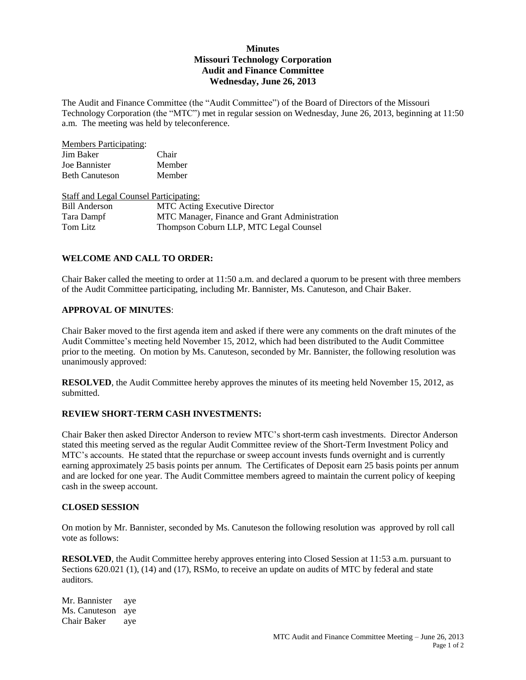# **Minutes Missouri Technology Corporation Audit and Finance Committee Wednesday, June 26, 2013**

The Audit and Finance Committee (the "Audit Committee") of the Board of Directors of the Missouri Technology Corporation (the "MTC") met in regular session on Wednesday, June 26, 2013, beginning at 11:50 a.m. The meeting was held by teleconference.

| <b>Members Participating:</b>                 |                                               |
|-----------------------------------------------|-----------------------------------------------|
| Jim Baker                                     | Chair                                         |
| Joe Bannister                                 | Member                                        |
| <b>Beth Canuteson</b>                         | Member                                        |
| <b>Staff and Legal Counsel Participating:</b> |                                               |
| <b>Bill Anderson</b>                          | <b>MTC</b> Acting Executive Director          |
| Tara Dampf                                    | MTC Manager, Finance and Grant Administration |
| Tom Litz                                      | Thompson Coburn LLP, MTC Legal Counsel        |

## **WELCOME AND CALL TO ORDER:**

Chair Baker called the meeting to order at 11:50 a.m. and declared a quorum to be present with three members of the Audit Committee participating, including Mr. Bannister, Ms. Canuteson, and Chair Baker.

#### **APPROVAL OF MINUTES**:

Chair Baker moved to the first agenda item and asked if there were any comments on the draft minutes of the Audit Committee's meeting held November 15, 2012, which had been distributed to the Audit Committee prior to the meeting. On motion by Ms. Canuteson, seconded by Mr. Bannister, the following resolution was unanimously approved:

**RESOLVED**, the Audit Committee hereby approves the minutes of its meeting held November 15, 2012, as submitted.

#### **REVIEW SHORT-TERM CASH INVESTMENTS:**

Chair Baker then asked Director Anderson to review MTC's short-term cash investments. Director Anderson stated this meeting served as the regular Audit Committee review of the Short-Term Investment Policy and MTC's accounts. He stated thtat the repurchase or sweep account invests funds overnight and is currently earning approximately 25 basis points per annum. The Certificates of Deposit earn 25 basis points per annum and are locked for one year. The Audit Committee members agreed to maintain the current policy of keeping cash in the sweep account.

## **CLOSED SESSION**

On motion by Mr. Bannister, seconded by Ms. Canuteson the following resolution was approved by roll call vote as follows:

**RESOLVED**, the Audit Committee hereby approves entering into Closed Session at 11:53 a.m. pursuant to Sections 620.021 (1), (14) and (17), RSMo, to receive an update on audits of MTC by federal and state auditors.

Mr. Bannister aye Ms. Canuteson aye Chair Baker aye